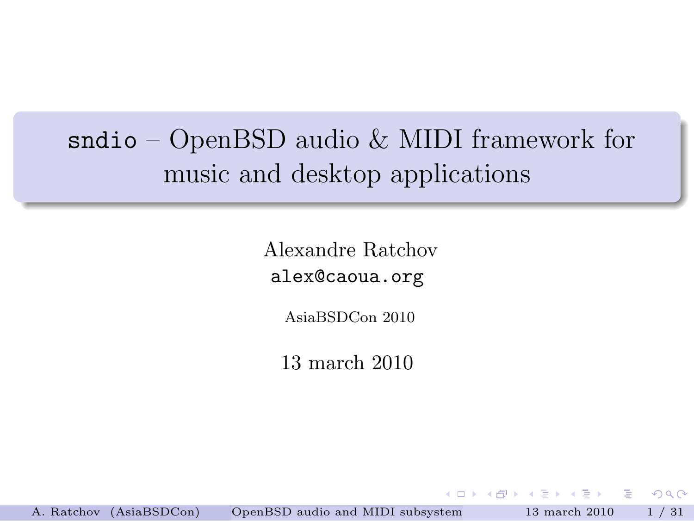# sndio – OpenBSD audio & MIDI framework for music and desktop applications

Alexandre Ratchov alex@caoua.org

AsiaBSDCon 2010

13 march 2010

**ADAMENABY** 

D.

<span id="page-0-0"></span> $\Omega$ 

A. Ratchov (AsiaBSDCon) [OpenBSD audio and MIDI subsystem](#page-32-0) 13 march 2010 1 / 31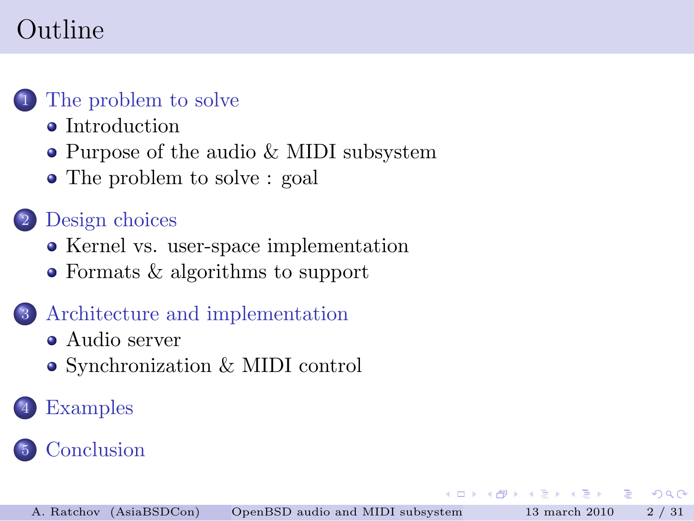# Outline



### [The problem to solve](#page-2-0)

- [Introduction](#page-2-0)
- [Purpose of the audio & MIDI subsystem](#page-5-0)
- [The problem to solve : goal](#page-6-0)

### [Design choices](#page-11-0)

- [Kernel vs. user-space implementation](#page-11-0)
- [Formats & algorithms to support](#page-15-0)

### 3 [Architecture and implementation](#page-16-0)

- [Audio server](#page-18-0)
- [Synchronization & MIDI control](#page-22-0)

## **[Examples](#page-25-0)**

### **[Conclusion](#page-31-0)**

 $QQ$ 

**ADAMENABY**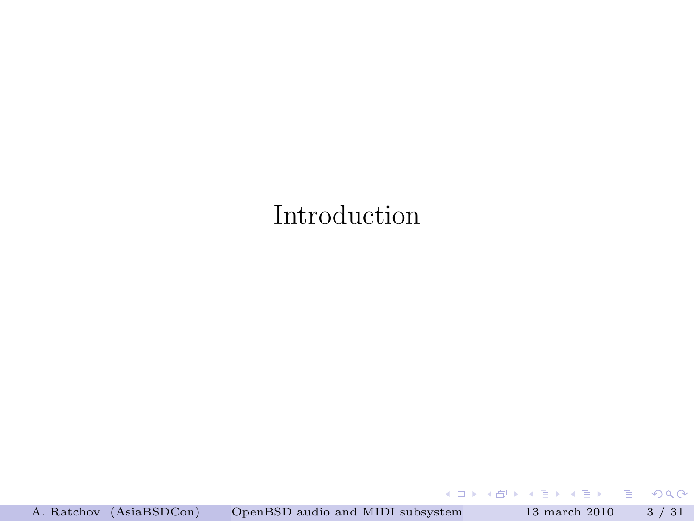## Introduction

A. Ratchov (AsiaBSDCon) [OpenBSD audio and MIDI subsystem](#page-0-0) 13 march 2010 3 / 31

重

<span id="page-2-0"></span> $2990$ 

 $4$  ロ )  $4$  何 )  $4$  ミ )  $4$   $\pm$  )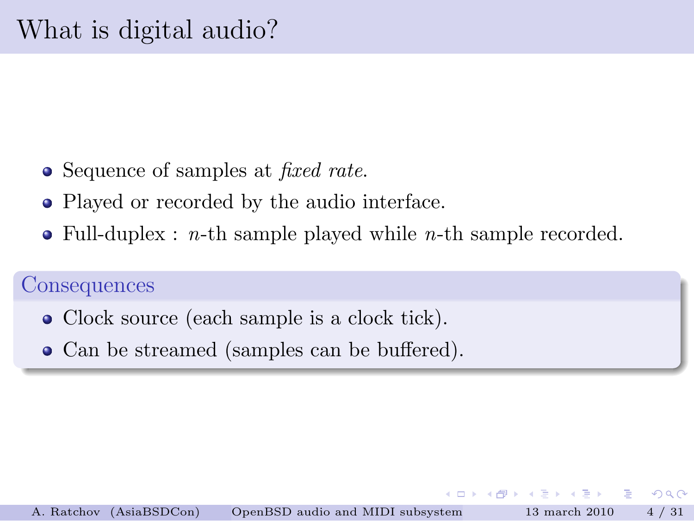- Sequence of samples at *fixed rate*.
- Played or recorded by the audio interface.
- $\bullet$  Full-duplex : *n*-th sample played while *n*-th sample recorded.

#### **Consequences**

- Clock source (each sample is a clock tick).
- Can be streamed (samples can be buffered).

 $\Omega$ 

 $\left\{ \bigcap_{i=1}^{n} x_i \; : \; i \geq 1 \right\}$  ,  $\left\{ \bigcap_{i=1}^{n} x_i \; : \; i \geq 1 \right\}$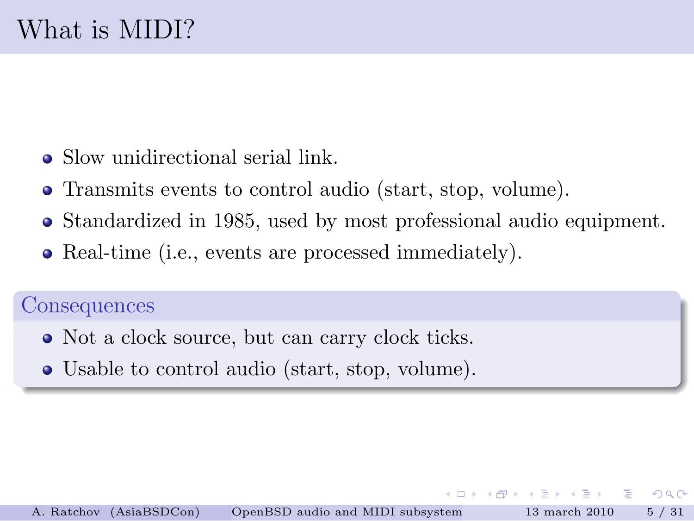- Slow unidirectional serial link.
- Transmits events to control audio (start, stop, volume).
- Standardized in 1985, used by most professional audio equipment.
- Real-time (i.e., events are processed immediately).

#### **Consequences**

- Not a clock source, but can carry clock ticks.
- Usable to control audio (start, stop, volume).

 $2Q$ 

 $\left\{ \left\vert \mathbf{a}\right\vert \mathbf{b}\right\}$  , and  $\left\vert \mathbf{a}\right\vert$  is a set of  $\mathbf{b}$  is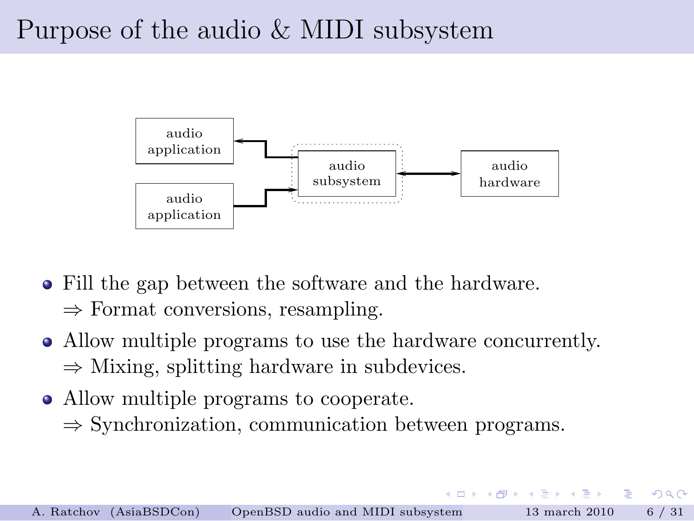# Purpose of the audio & MIDI subsystem



- Fill the gap between the software and the hardware.  $\Rightarrow$  Format conversions, resampling.
- Allow multiple programs to use the hardware concurrently.  $\Rightarrow$  Mixing, splitting hardware in subdevices.
- Allow multiple programs to cooperate.
	- $\Rightarrow$  Synchronization, communication between programs.

<span id="page-5-0"></span> $\Omega$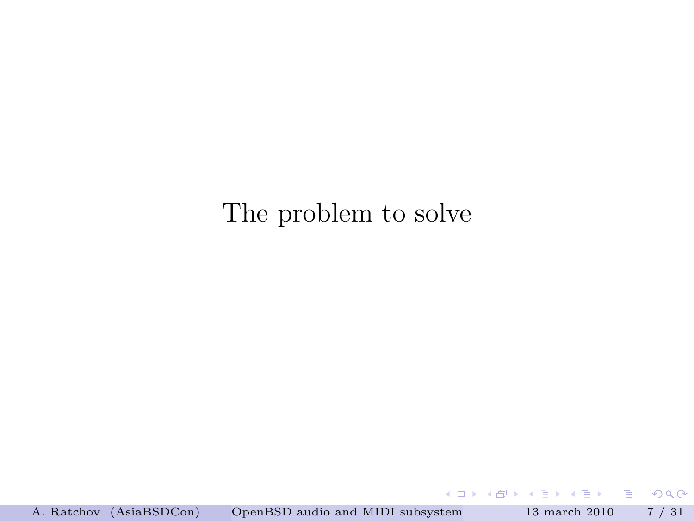## The problem to solve

<span id="page-6-0"></span> $QQQ$ 

 $4$  ロ )  $4$  何 )  $4$  ミ )  $4$   $\pm$  )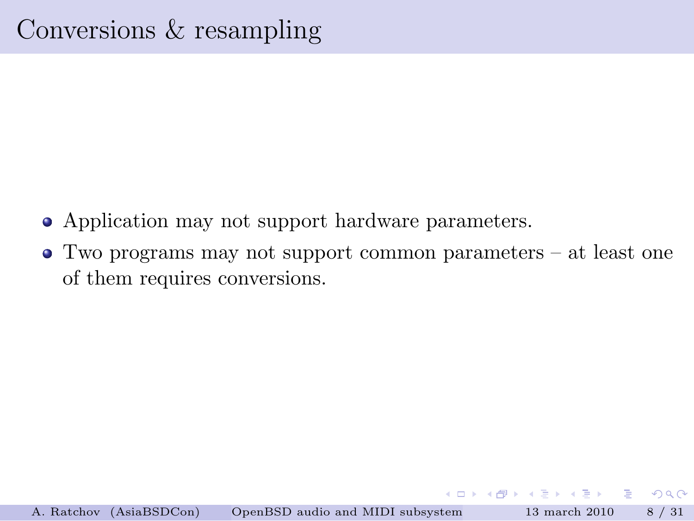- Application may not support hardware parameters.
- Two programs may not support common parameters at least one of them requires conversions.

 $(0,1)$   $(0,1)$   $(0,1)$   $(1,1)$   $(1,1)$   $(1,1)$ 

**Single Street** 

 $\Omega$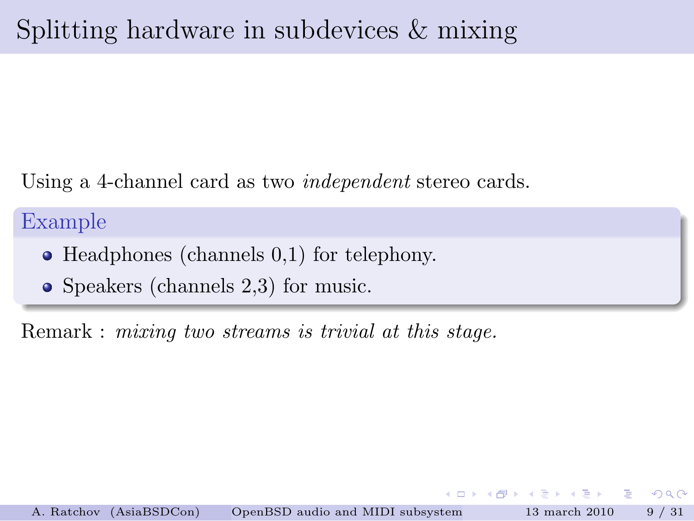Using a 4-channel card as two independent stereo cards.

### Example

- Headphones (channels 0,1) for telephony.
- Speakers (channels 2,3) for music.

Remark : mixing two streams is trivial at this stage.

 $\sqrt{m}$   $\rightarrow$   $\sqrt{m}$   $\rightarrow$   $\sqrt{m}$   $\rightarrow$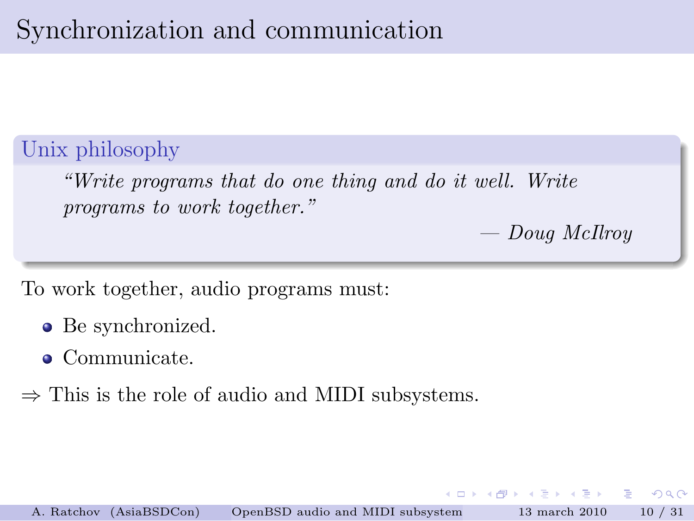Unix philosophy

"Write programs that do one thing and do it well. Write programs to work together."

— Doug McIlroy

 $\sqrt{m}$   $\rightarrow$   $\sqrt{m}$   $\rightarrow$   $\sqrt{m}$   $\rightarrow$ 

To work together, audio programs must:

- Be synchronized.
- Communicate.

 $\Rightarrow$  This is the role of audio and MIDI subsystems.

œ.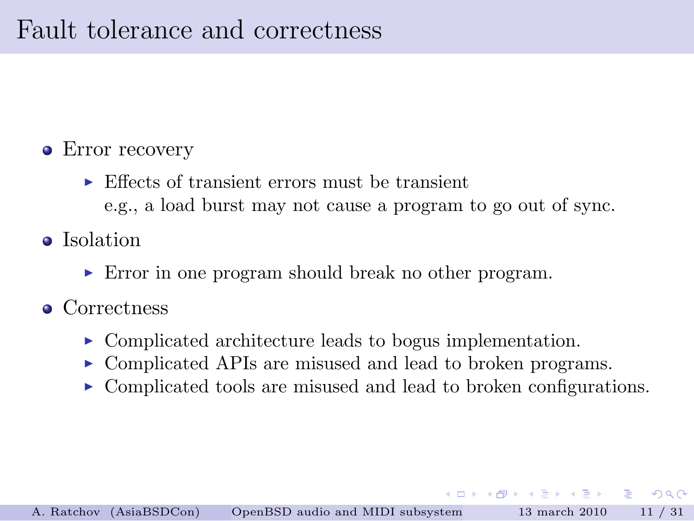# Fault tolerance and correctness

- Error recovery
	- $\triangleright$  Effects of transient errors must be transient e.g., a load burst may not cause a program to go out of sync.
- Isolation
	- ► Error in one program should break no other program.
- Correctness
	- ▶ Complicated architecture leads to bogus implementation.
	- ► Complicated APIs are misused and lead to broken programs.
	- ► Complicated tools are misused and lead to broken configurations.

 $\equiv$   $\cap$   $\cap$ 

 $\mathcal{A} \oplus \mathcal{B}$  and  $\mathcal{A} \oplus \mathcal{B}$  and  $\mathcal{B} \oplus \mathcal{B}$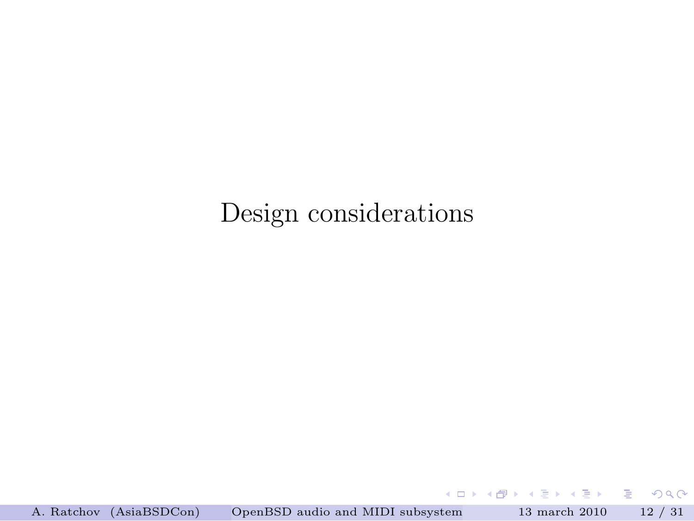## Design considerations

A. Ratchov (AsiaBSDCon) [OpenBSD audio and MIDI subsystem](#page-0-0) 13 march 2010 12 / 31

イロト イ押ト イヨト イヨト

<span id="page-11-0"></span> $\equiv$  990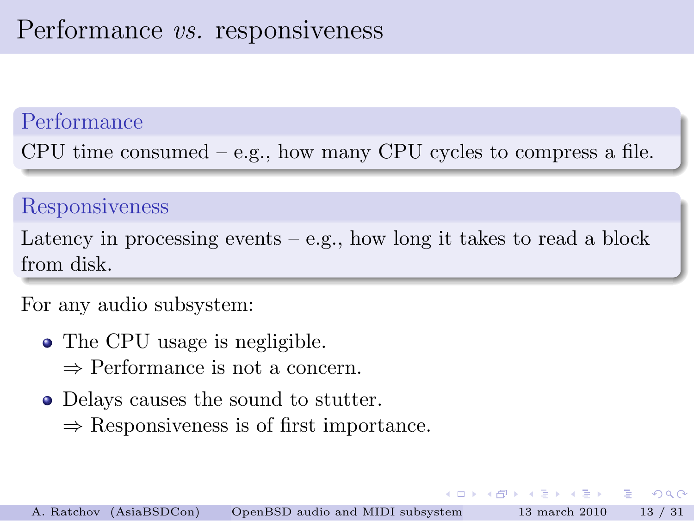### Performance

CPU time consumed  $-$  e.g., how many CPU cycles to compress a file.

#### Responsiveness

Latency in processing events  $-e.g.,$  how long it takes to read a block from disk.

#### For any audio subsystem:

- The CPU usage is negligible.
	- ⇒ Performance is not a concern.
- Delays causes the sound to stutter.
	- $\Rightarrow$  Responsiveness is of first importance.

 $\mathcal{A}$   $\mathcal{B}$   $\rightarrow$   $\mathcal{A}$   $\mathcal{B}$   $\rightarrow$   $\mathcal{A}$   $\mathcal{B}$   $\rightarrow$   $\mathcal{B}$ 

 $\Omega$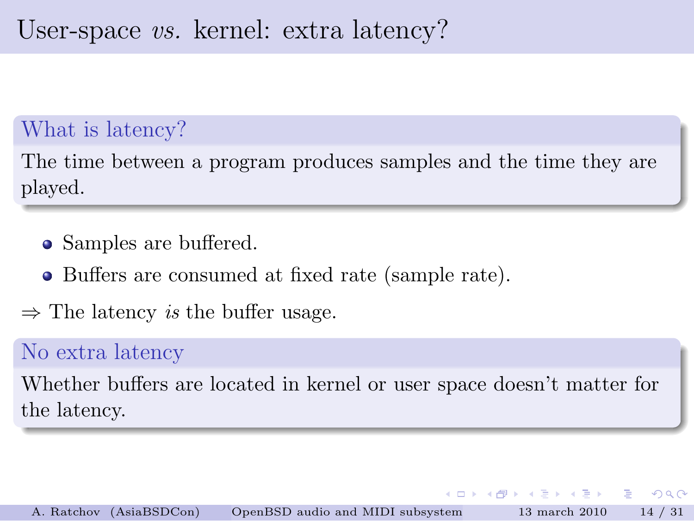# User-space vs. kernel: extra latency?

### What is latency?

The time between a program produces samples and the time they are played.

- Samples are buffered.
- Buffers are consumed at fixed rate (sample rate).
- $\Rightarrow$  The latency *is* the buffer usage.

### No extra latency

Whether buffers are located in kernel or user space doesn't matter for the latency.

E.

イ押 トラ ミチャラー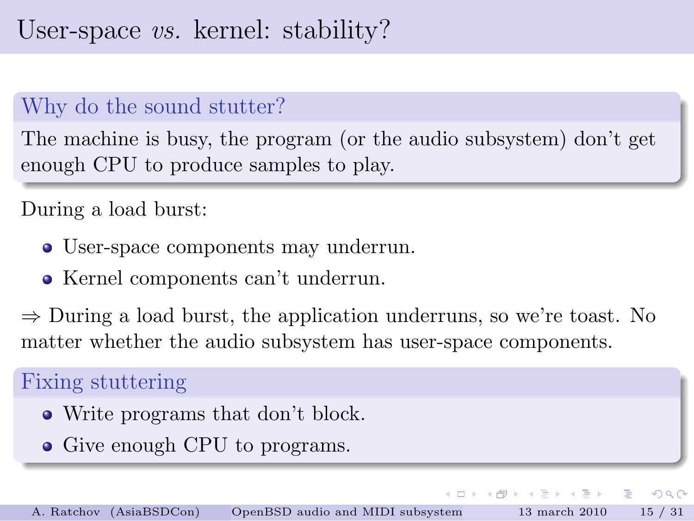### Why do the sound stutter?

The machine is busy, the program (or the audio subsystem) don't get enough CPU to produce samples to play.

#### During a load burst:

- User-space components may underrun.
- Kernel components can't underrun.

 $\Rightarrow$  During a load burst, the application underruns, so we're toast. No matter whether the audio subsystem has user-space components.

マーター マーティング

 $\Omega$ 

#### Fixing stuttering

- Write programs that don't block.
- Give enough CPU to programs.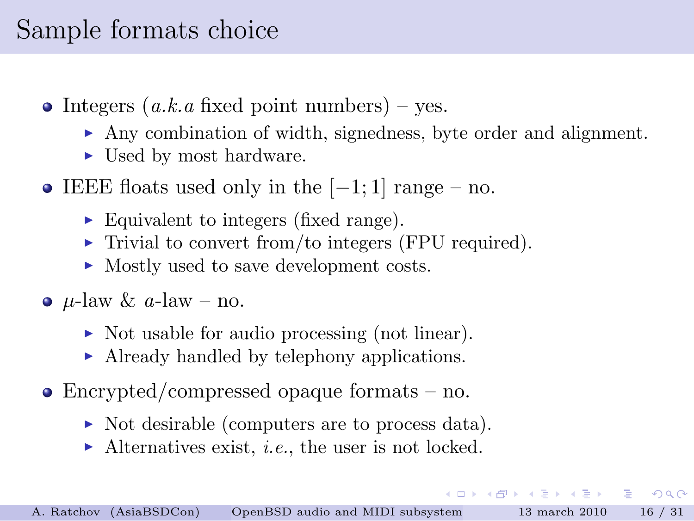# Sample formats choice

- $\bullet$  Integers (a.k.a fixed point numbers) yes.
	- $\blacktriangleright$  Any combination of width, signedness, byte order and alignment.
	- ► Used by most hardware.
- IEEE floats used only in the  $[-1, 1]$  range no.
	- ► Equivalent to integers (fixed range).
	- $\triangleright$  Trivial to convert from/to integers (FPU required).
	- ► Mostly used to save development costs.
- $\mu$ -law  $\&$  a-law no.
	- ► Not usable for audio processing (not linear).
	- ▶ Already handled by telephony applications.
- Encrypted/compressed opaque formats no.
	- ▶ Not desirable (computers are to process data).
	- $\blacktriangleright$  Alternatives exist, *i.e.*, the user is not locked.

<span id="page-15-0"></span>KILIK KARIK KEN I EL YOKO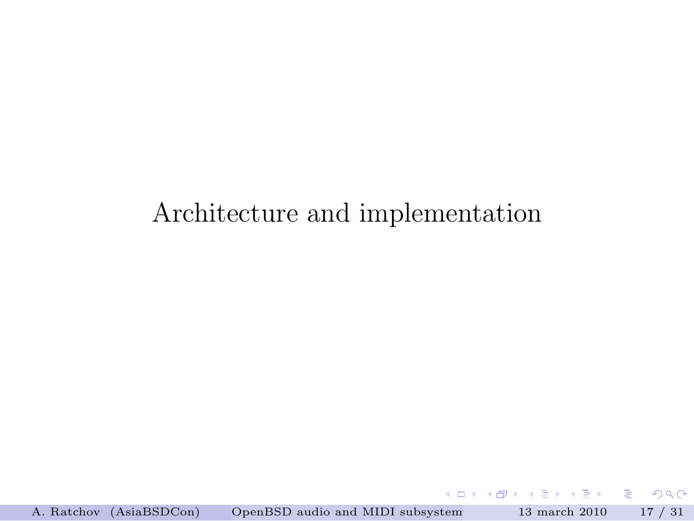## Architecture and implementation

 $(0,1)$   $(0,1)$   $(0,1)$   $(1,1)$   $(1,1)$   $(1,1)$ 

 $\equiv$ 

<span id="page-16-0"></span> $299$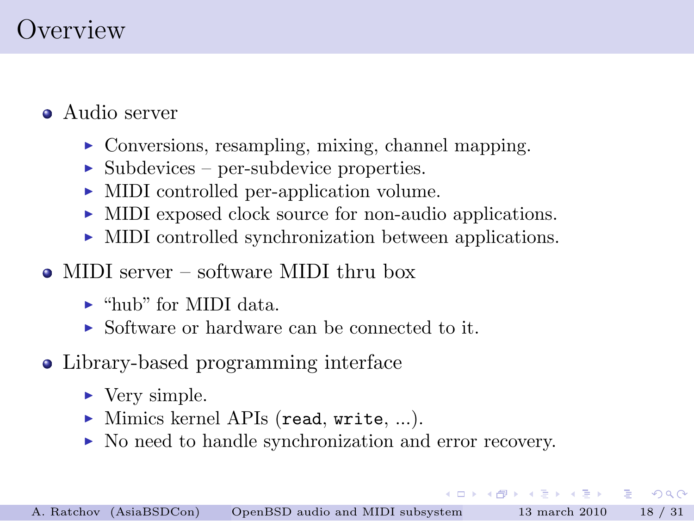# Overview

- Audio server
	- ► Conversions, resampling, mixing, channel mapping.
	- $\triangleright$  Subdevices per-subdevice properties.
	- ▶ MIDI controlled per-application volume.
	- ▶ MIDI exposed clock source for non-audio applications.
	- ► MIDI controlled synchronization between applications.
- MIDI server software MIDI thru box
	- $\blacktriangleright$  "hub" for MIDI data.
	- ► Software or hardware can be connected to it.
- Library-based programming interface
	- ► Very simple.
	- $\triangleright$  Mimics kernel APIs (read, write, ...).
	- ▶ No need to handle synchronization and error recovery.

KOL KALLARIN (B. A. B. KORA)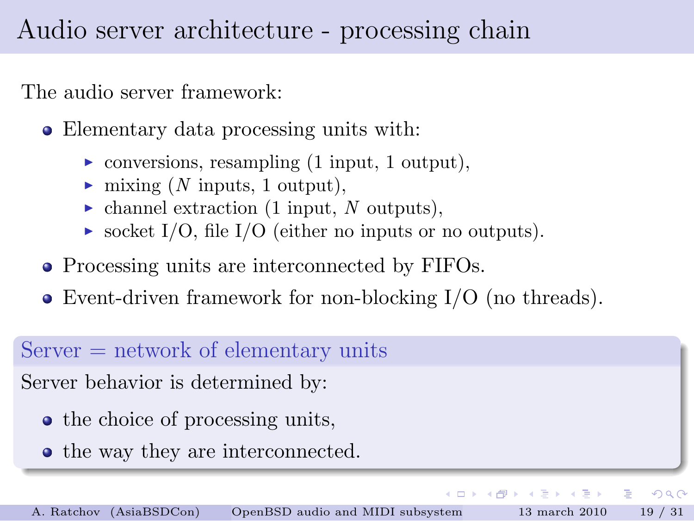# Audio server architecture - processing chain

The audio server framework:

Elementary data processing units with:

- $\triangleright$  conversions, resampling (1 input, 1 output),
- $\blacktriangleright$  mixing (N inputs, 1 output),
- $\blacktriangleright$  channel extraction (1 input, N outputs),
- socket I/O, file I/O (either no inputs or no outputs).
- Processing units are interconnected by FIFOs.
- Event-driven framework for non-blocking I/O (no threads).

#### $Server = network of elementary units$

Server behavior is determined by:

- the choice of processing units,
- the way they are interconnected.

<span id="page-18-0"></span>E.

 $(0,1)$   $(0,1)$   $(0,1)$   $(1,1)$   $(1,1)$   $(1,1)$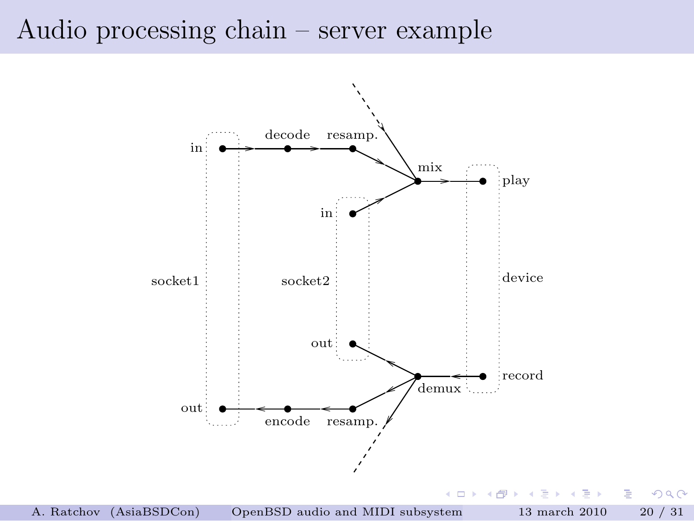### Audio processing chain – server example



舌 **B** B  $2Q$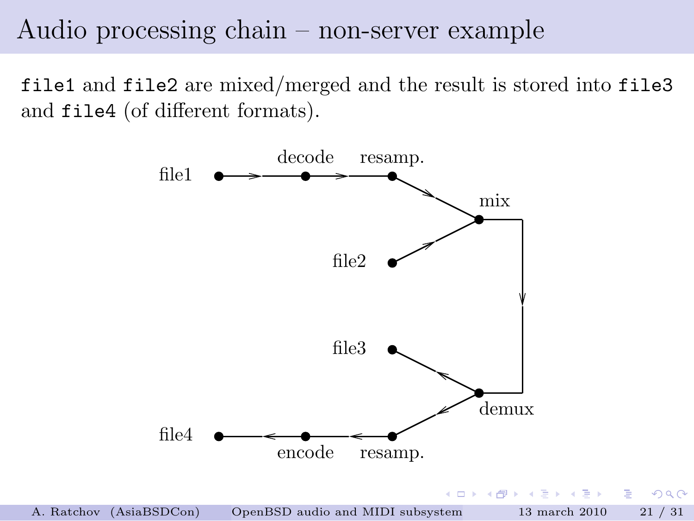### Audio processing chain – non-server example

file1 and file2 are mixed/merged and the result is stored into file3 and file4 (of different formats).



 $2Q$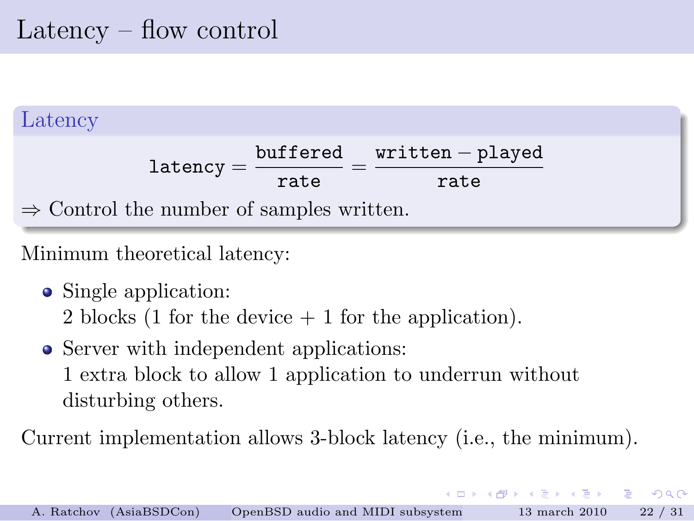# Latency – flow control



Minimum theoretical latency:

• Single application:

2 blocks (1 for the device + 1 for the application).

• Server with independent applications: 1 extra block to allow 1 application to underrun without disturbing others.

Current implementation allows 3-block latency (i.e., the minimum).

イロト イ押 トイヨ トイヨ トー

D-1  $\Omega$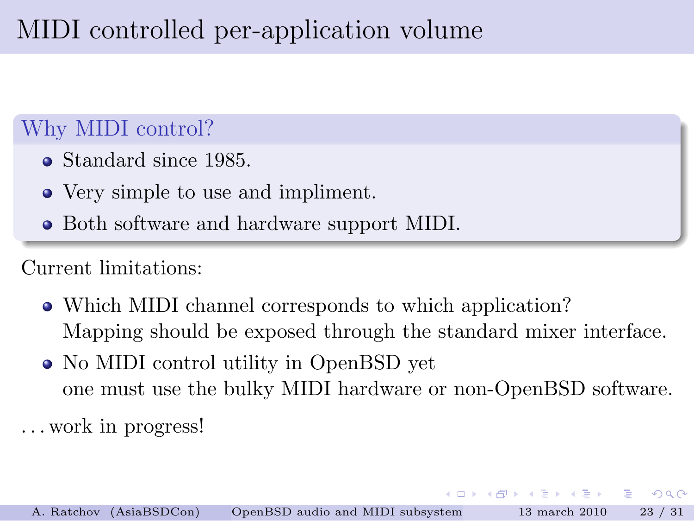# MIDI controlled per-application volume

### Why MIDI control?

- Standard since 1985.
- Very simple to use and impliment.
- Both software and hardware support MIDI.

### Current limitations:

- Which MIDI channel corresponds to which application? Mapping should be exposed through the standard mixer interface.
- No MIDI control utility in OpenBSD yet one must use the bulky MIDI hardware or non-OpenBSD software.

. . . work in progress!

 $\mathcal{A}$   $\mathcal{B}$   $\rightarrow$   $\mathcal{A}$   $\mathcal{B}$   $\rightarrow$   $\mathcal{A}$   $\mathcal{B}$   $\rightarrow$ 

<span id="page-22-0"></span> $\Omega$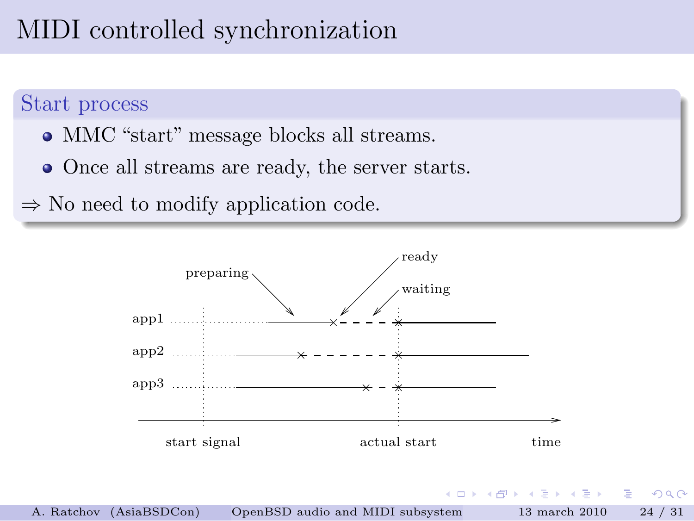# MIDI controlled synchronization

#### Start process

- MMC "start" message blocks all streams.
- Once all streams are ready, the server starts.

 $\Rightarrow$  No need to modify application code.

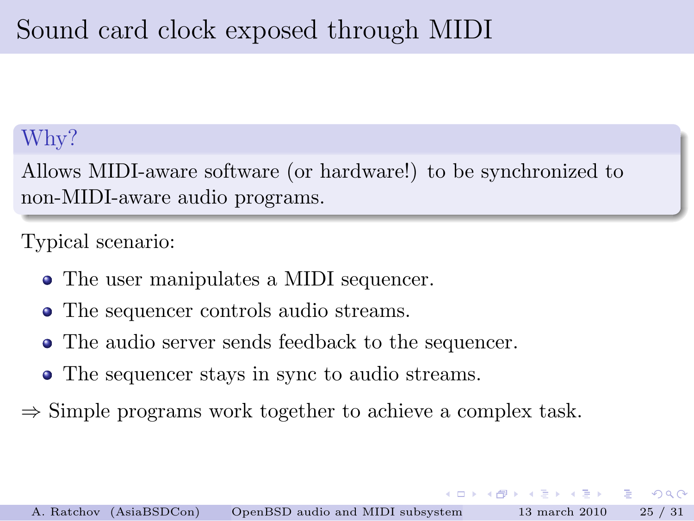### Why?

Allows MIDI-aware software (or hardware!) to be synchronized to non-MIDI-aware audio programs.

### Typical scenario:

- The user manipulates a MIDI sequencer.
- The sequencer controls audio streams.
- The audio server sends feedback to the sequencer.
- The sequencer stays in sync to audio streams.
- $\Rightarrow$  Simple programs work together to achieve a complex task.

 $\left\{ \left\vert \mathbf{a}\right\vert \mathbf{b}\right\}$  , and  $\left\vert \mathbf{a}\right\vert$  is a set of  $\mathbf{b}$  is

 $\Omega$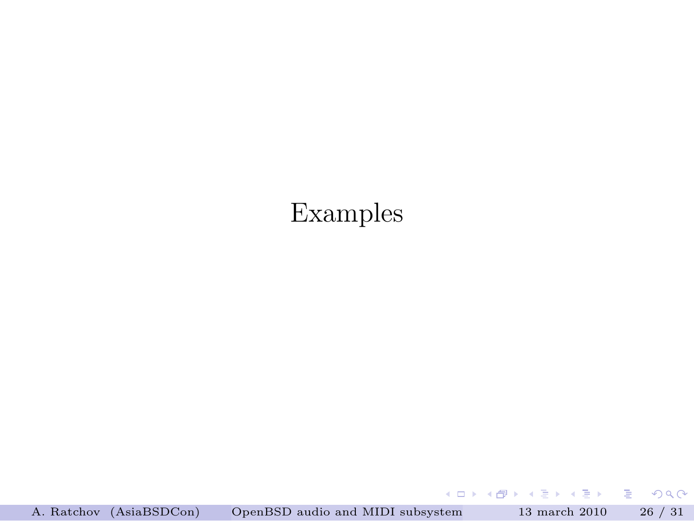## Examples

A. Ratchov (AsiaBSDCon) [OpenBSD audio and MIDI subsystem](#page-0-0) 13 march 2010 26 / 31

メロメ メタメ メミメ メミメー

<span id="page-25-0"></span> $\equiv$  990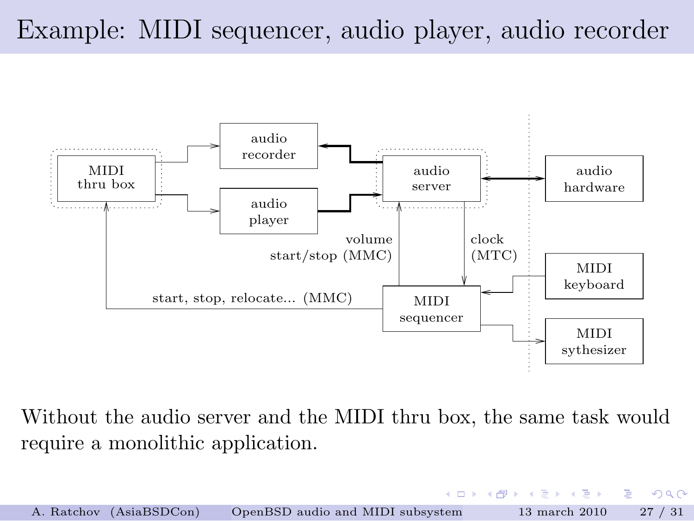# Example: MIDI sequencer, audio player, audio recorder



Without the audio server and the MIDI thru box, the same task would require a monolithic application.

| A. Ratchov (AsiaBSDCon) | OpenBSD audio and MIDI subsystem | $13$ march $2010$ | 27/31 |
|-------------------------|----------------------------------|-------------------|-------|

**KORK (FRAGE) E DAG**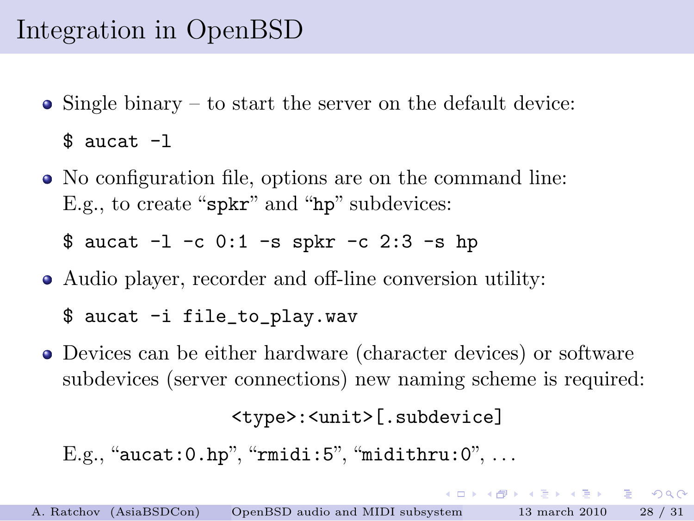# Integration in OpenBSD

• Single binary – to start the server on the default device:

\$ aucat -l

No configuration file, options are on the command line: E.g., to create "spkr" and "hp" subdevices:

\$ aucat -l -c 0:1 -s spkr -c 2:3 -s hp

Audio player, recorder and off-line conversion utility:

\$ aucat -i file\_to\_play.wav

Devices can be either hardware (character devices) or software subdevices (server connections) new naming scheme is required:

```
<type>:<unit>[.subdevice]
```
KILIK KARIK KEN I EL YOKO

```
E.g., "aucat: 0.hp", "rmidi: 5", "midithru: 0", ...
```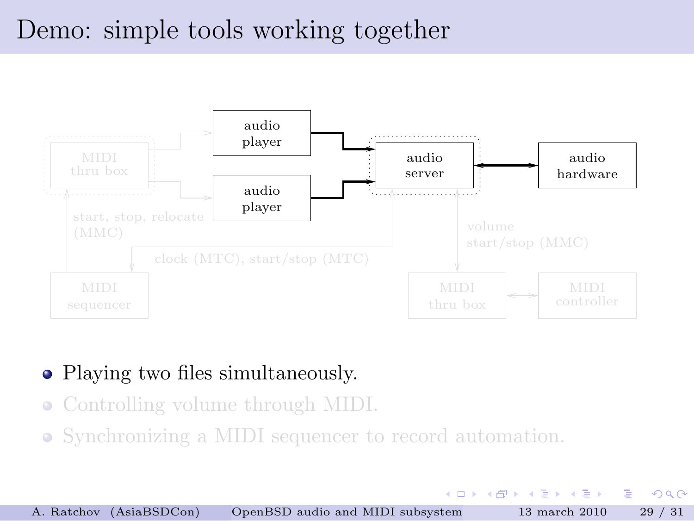## Demo: simple tools working together



### • Playing two files simultaneously.

- Controlling volume through MIDI.
- Synchronizing a MIDI sequencer to record automation.

イロト イ押ト イヨト イヨト

 $\Omega$ 

∍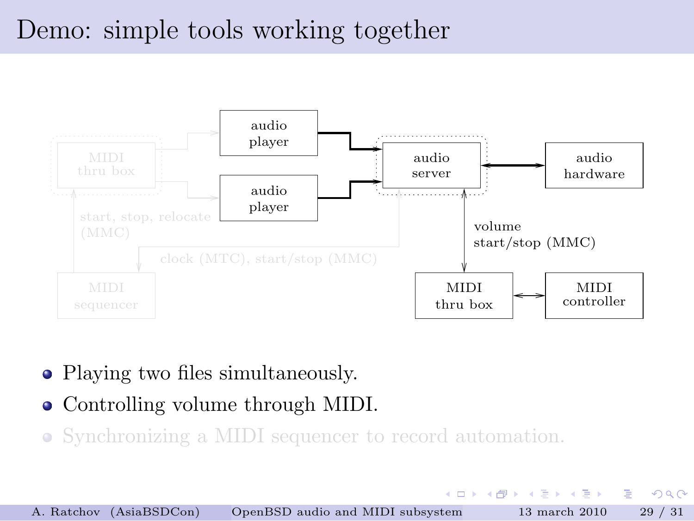## Demo: simple tools working together



- Playing two files simultaneously.
- Controlling volume through MIDI.
- Synchronizing a MIDI sequencer to record automation.

イロト イ押ト イヨト イヨト

 $\Omega$ 

∍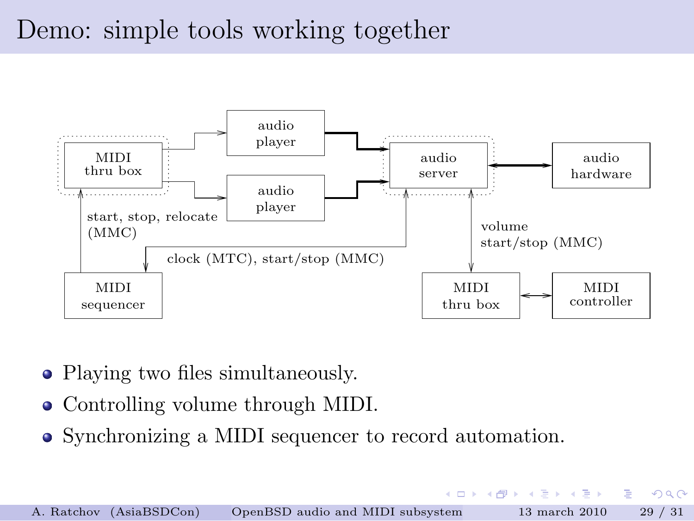## Demo: simple tools working together



- Playing two files simultaneously.
- Controlling volume through MIDI.
- Synchronizing a MIDI sequencer to record automation.

4 0 8

 $\mathbf{A} \oplus \mathbf{B}$   $\mathbf{B} \oplus \mathbf{A} \oplus \mathbf{B}$ 

 $\rightarrow$   $\equiv$   $\rightarrow$ 

 $QQ$ 

∍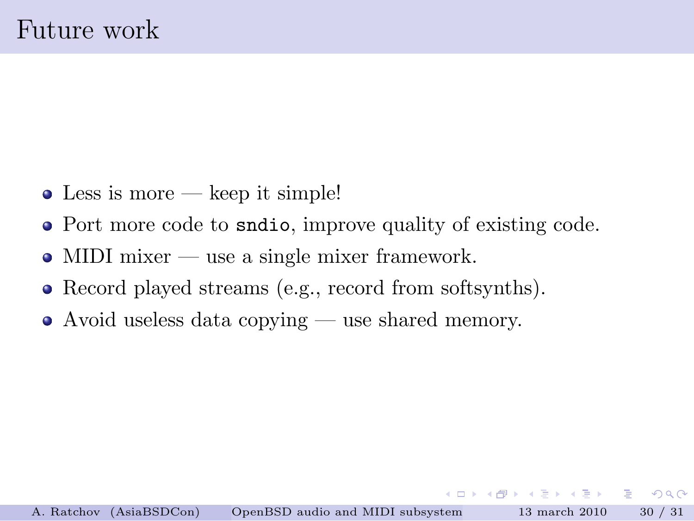- $\bullet$  Less is more keep it simple!
- Port more code to sndio, improve quality of existing code.
- $\bullet$  MIDI mixer use a single mixer framework.
- Record played streams (e.g., record from softsynths).
- Avoid useless data copying use shared memory.

イロト イ押ト イヨト イヨト

<span id="page-31-0"></span> $E = \Omega Q$